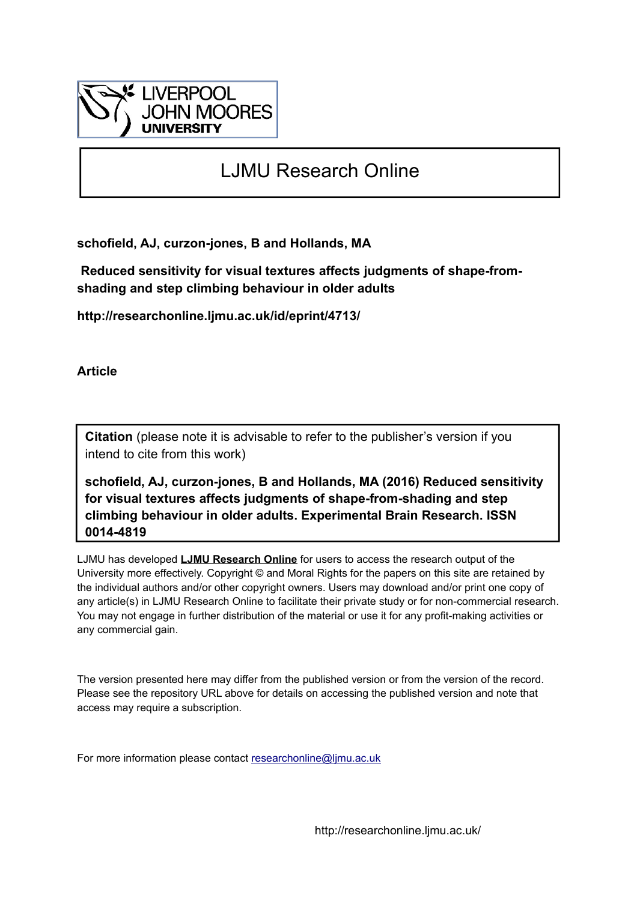

# LJMU Research Online

**schofield, AJ, curzon-jones, B and Hollands, MA**

 **Reduced sensitivity for visual textures affects judgments of shape-fromshading and step climbing behaviour in older adults**

**http://researchonline.ljmu.ac.uk/id/eprint/4713/**

**Article**

**Citation** (please note it is advisable to refer to the publisher's version if you intend to cite from this work)

**schofield, AJ, curzon-jones, B and Hollands, MA (2016) Reduced sensitivity for visual textures affects judgments of shape-from-shading and step climbing behaviour in older adults. Experimental Brain Research. ISSN 0014-4819** 

LJMU has developed **[LJMU Research Online](http://researchonline.ljmu.ac.uk/)** for users to access the research output of the University more effectively. Copyright © and Moral Rights for the papers on this site are retained by the individual authors and/or other copyright owners. Users may download and/or print one copy of any article(s) in LJMU Research Online to facilitate their private study or for non-commercial research. You may not engage in further distribution of the material or use it for any profit-making activities or any commercial gain.

The version presented here may differ from the published version or from the version of the record. Please see the repository URL above for details on accessing the published version and note that access may require a subscription.

For more information please contact [researchonline@ljmu.ac.uk](mailto:researchonline@ljmu.ac.uk)

http://researchonline.ljmu.ac.uk/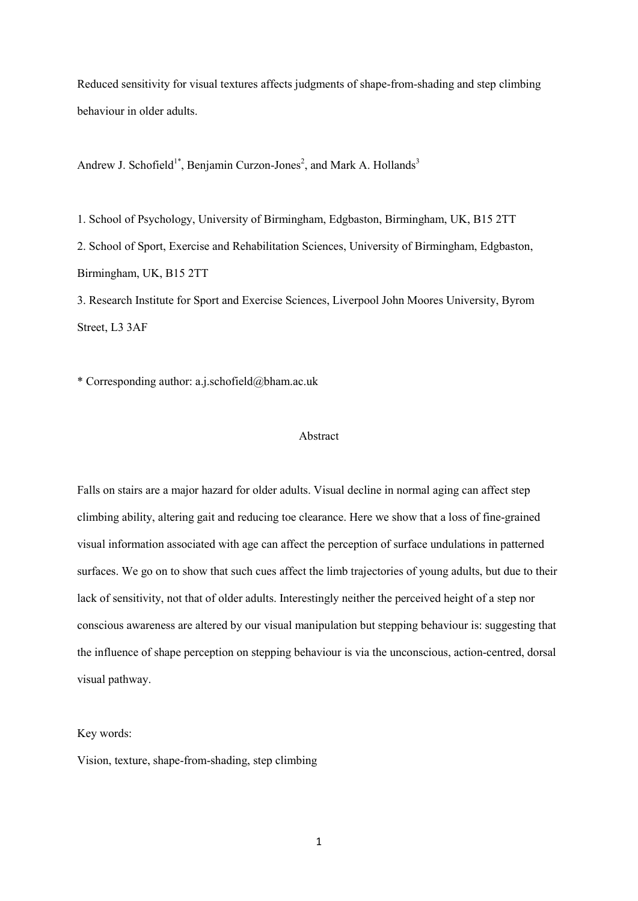Reduced sensitivity for visual textures affects judgments of shape-from-shading and step climbing behaviour in older adults.

Andrew J. Schofield<sup>1\*</sup>, Benjamin Curzon-Jones<sup>2</sup>, and Mark A. Hollands<sup>3</sup>

1. School of Psychology, University of Birmingham, Edgbaston, Birmingham, UK, B15 2TT 2. School of Sport, Exercise and Rehabilitation Sciences, University of Birmingham, Edgbaston, Birmingham, UK, B15 2TT

3. Research Institute for Sport and Exercise Sciences, Liverpool John Moores University, Byrom Street, L3 3AF

\* Corresponding author: a.j.schofield@bham.ac.uk

## Abstract

Falls on stairs are a major hazard for older adults. Visual decline in normal aging can affect step climbing ability, altering gait and reducing toe clearance. Here we show that a loss of fine-grained visual information associated with age can affect the perception of surface undulations in patterned surfaces. We go on to show that such cues affect the limb trajectories of young adults, but due to their lack of sensitivity, not that of older adults. Interestingly neither the perceived height of a step nor conscious awareness are altered by our visual manipulation but stepping behaviour is: suggesting that the influence of shape perception on stepping behaviour is via the unconscious, action-centred, dorsal visual pathway.

Key words:

Vision, texture, shape-from-shading, step climbing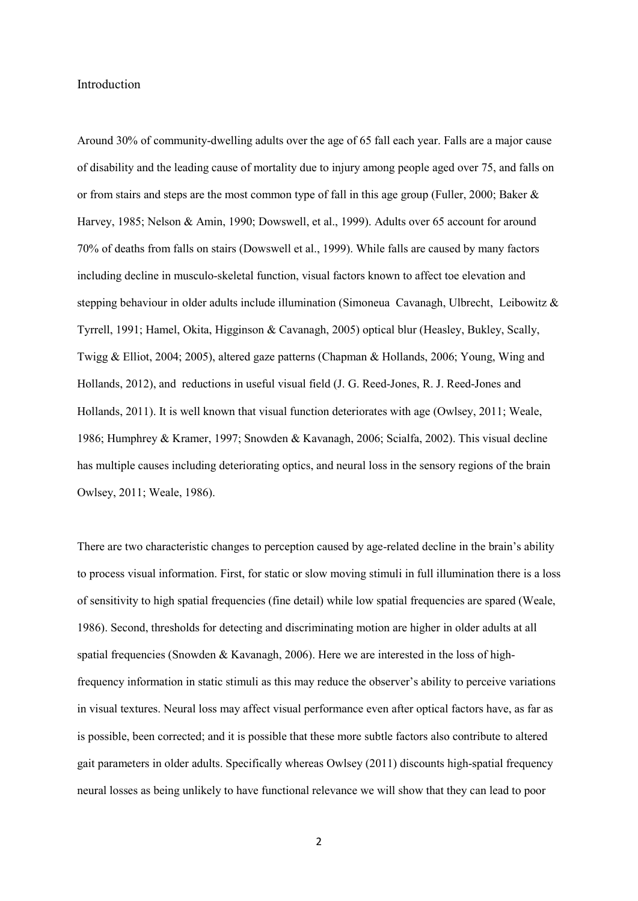## Introduction

Around 30% of community-dwelling adults over the age of 65 fall each year. Falls are a major cause of disability and the leading cause of mortality due to injury among people aged over 75, and falls on or from stairs and steps are the most common type of fall in this age group (Fuller, 2000; Baker & Harvey, 1985; Nelson & Amin, 1990; Dowswell, et al., 1999). Adults over 65 account for around 70% of deaths from falls on stairs (Dowswell et al., 1999). While falls are caused by many factors including decline in musculo-skeletal function, visual factors known to affect toe elevation and stepping behaviour in older adults include illumination (Simoneua Cavanagh, Ulbrecht, Leibowitz & Tyrrell, 1991; Hamel, Okita, Higginson & Cavanagh, 2005) optical blur (Heasley, Bukley, Scally, Twigg & Elliot, 2004; 2005), altered gaze patterns (Chapman & Hollands, 2006; Young, Wing and Hollands, 2012), and reductions in useful visual field (J. G. Reed-Jones, R. J. Reed-Jones and Hollands, 2011). It is well known that visual function deteriorates with age (Owlsey, 2011; Weale, 1986; Humphrey & Kramer, 1997; Snowden & Kavanagh, 2006; Scialfa, 2002). This visual decline has multiple causes including deteriorating optics, and neural loss in the sensory regions of the brain Owlsey, 2011; Weale, 1986).

There are two characteristic changes to perception caused by age-related decline in the brain's ability to process visual information. First, for static or slow moving stimuli in full illumination there is a loss of sensitivity to high spatial frequencies (fine detail) while low spatial frequencies are spared (Weale, 1986). Second, thresholds for detecting and discriminating motion are higher in older adults at all spatial frequencies (Snowden & Kavanagh, 2006). Here we are interested in the loss of highfrequency information in static stimuli as this may reduce the observer's ability to perceive variations in visual textures. Neural loss may affect visual performance even after optical factors have, as far as is possible, been corrected; and it is possible that these more subtle factors also contribute to altered gait parameters in older adults. Specifically whereas Owlsey (2011) discounts high-spatial frequency neural losses as being unlikely to have functional relevance we will show that they can lead to poor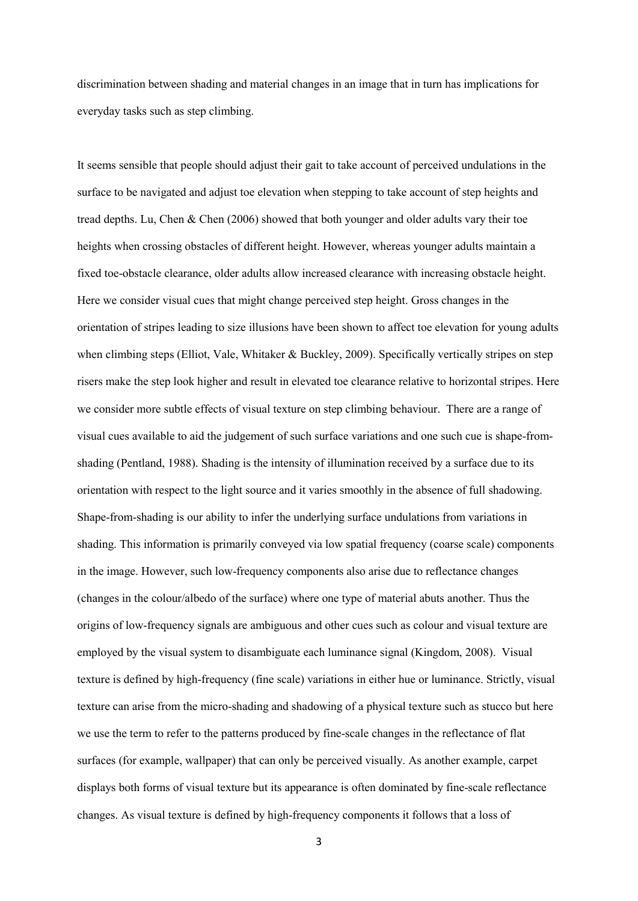discrimination between shading and material changes in an image that in turn has implications for everyday tasks such as step climbing.

It seems sensible that people should adjust their gait to take account of perceived undulations in the surface to be navigated and adjust toe elevation when stepping to take account of step heights and tread depths. Lu, Chen & Chen (2006) showed that both younger and older adults vary their toe heights when crossing obstacles of different height. However, whereas younger adults maintain a fixed toe-obstacle clearance, older adults allow increased clearance with increasing obstacle height. Here we consider visual cues that might change perceived step height. Gross changes in the orientation of stripes leading to size illusions have been shown to affect toe elevation for young adults when climbing steps (Elliot, Vale, Whitaker & Buckley, 2009). Specifically vertically stripes on step risers make the step look higher and result in elevated toe clearance relative to horizontal stripes. Here we consider more subtle effects of visual texture on step climbing behaviour. There are a range of visual cues available to aid the judgement of such surface variations and one such cue is shape-fromshading (Pentland, 1988). Shading is the intensity of illumination received by a surface due to its orientation with respect to the light source and it varies smoothly in the absence of full shadowing. Shape-from-shading is our ability to infer the underlying surface undulations from variations in shading. This information is primarily conveyed via low spatial frequency (coarse scale) components in the image. However, such low-frequency components also arise due to reflectance changes (changes in the colour/albedo of the surface) where one type of material abuts another. Thus the origins of low-frequency signals are ambiguous and other cues such as colour and visual texture are employed by the visual system to disambiguate each luminance signal (Kingdom, 2008). Visual texture is defined by high-frequency (fine scale) variations in either hue or luminance. Strictly, visual texture can arise from the micro-shading and shadowing of a physical texture such as stucco but here we use the term to refer to the patterns produced by fine-scale changes in the reflectance of flat surfaces (for example, wallpaper) that can only be perceived visually. As another example, carpet displays both forms of visual texture but its appearance is often dominated by fine-scale reflectance changes. As visual texture is defined by high-frequency components it follows that a loss of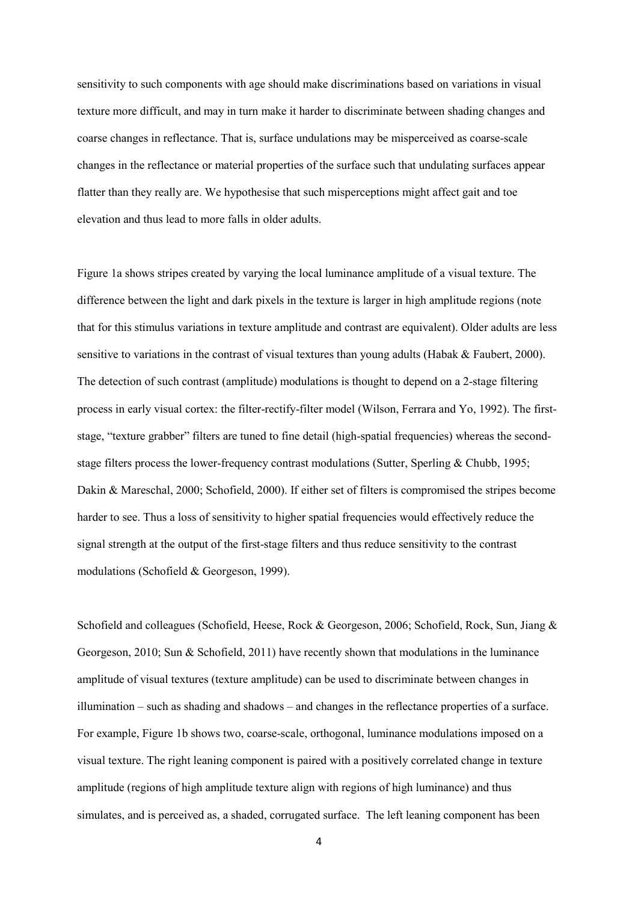sensitivity to such components with age should make discriminations based on variations in visual texture more difficult, and may in turn make it harder to discriminate between shading changes and coarse changes in reflectance. That is, surface undulations may be misperceived as coarse-scale changes in the reflectance or material properties of the surface such that undulating surfaces appear flatter than they really are. We hypothesise that such misperceptions might affect gait and toe elevation and thus lead to more falls in older adults.

Figure 1a shows stripes created by varying the local luminance amplitude of a visual texture. The difference between the light and dark pixels in the texture is larger in high amplitude regions (note that for this stimulus variations in texture amplitude and contrast are equivalent). Older adults are less sensitive to variations in the contrast of visual textures than young adults (Habak & Faubert, 2000). The detection of such contrast (amplitude) modulations is thought to depend on a 2-stage filtering process in early visual cortex: the filter-rectify-filter model (Wilson, Ferrara and Yo, 1992). The firststage, "texture grabber" filters are tuned to fine detail (high-spatial frequencies) whereas the secondstage filters process the lower-frequency contrast modulations (Sutter, Sperling & Chubb, 1995; Dakin & Mareschal, 2000; Schofield, 2000). If either set of filters is compromised the stripes become harder to see. Thus a loss of sensitivity to higher spatial frequencies would effectively reduce the signal strength at the output of the first-stage filters and thus reduce sensitivity to the contrast modulations (Schofield & Georgeson, 1999).

Schofield and colleagues (Schofield, Heese, Rock & Georgeson, 2006; Schofield, Rock, Sun, Jiang & Georgeson, 2010; Sun & Schofield, 2011) have recently shown that modulations in the luminance amplitude of visual textures (texture amplitude) can be used to discriminate between changes in illumination – such as shading and shadows – and changes in the reflectance properties of a surface. For example, Figure 1b shows two, coarse-scale, orthogonal, luminance modulations imposed on a visual texture. The right leaning component is paired with a positively correlated change in texture amplitude (regions of high amplitude texture align with regions of high luminance) and thus simulates, and is perceived as, a shaded, corrugated surface. The left leaning component has been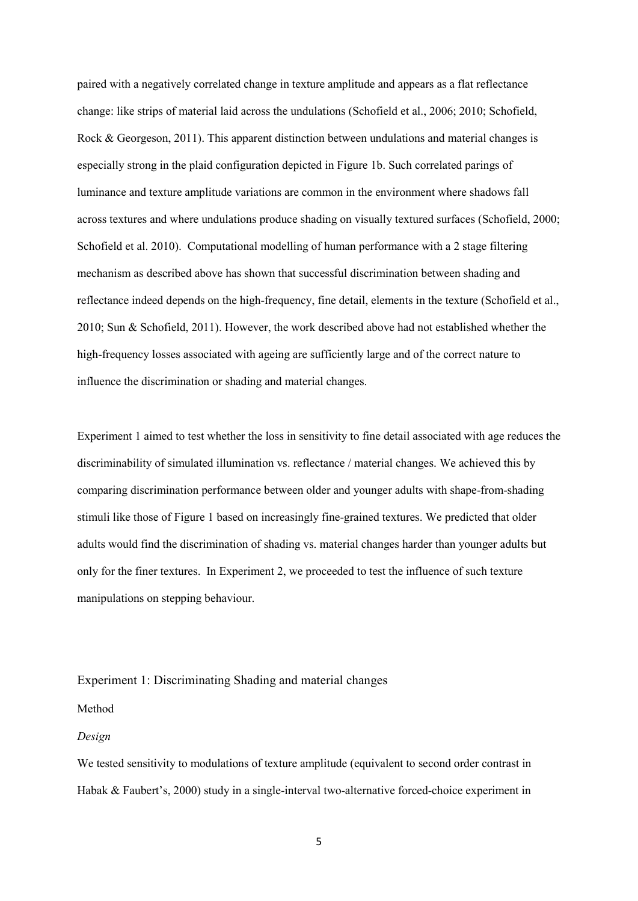paired with a negatively correlated change in texture amplitude and appears as a flat reflectance change: like strips of material laid across the undulations (Schofield et al., 2006; 2010; Schofield, Rock & Georgeson, 2011). This apparent distinction between undulations and material changes is especially strong in the plaid configuration depicted in Figure 1b. Such correlated parings of luminance and texture amplitude variations are common in the environment where shadows fall across textures and where undulations produce shading on visually textured surfaces (Schofield, 2000; Schofield et al. 2010). Computational modelling of human performance with a 2 stage filtering mechanism as described above has shown that successful discrimination between shading and reflectance indeed depends on the high-frequency, fine detail, elements in the texture (Schofield et al., 2010; Sun & Schofield, 2011). However, the work described above had not established whether the high-frequency losses associated with ageing are sufficiently large and of the correct nature to influence the discrimination or shading and material changes.

Experiment 1 aimed to test whether the loss in sensitivity to fine detail associated with age reduces the discriminability of simulated illumination vs. reflectance / material changes. We achieved this by comparing discrimination performance between older and younger adults with shape-from-shading stimuli like those of Figure 1 based on increasingly fine-grained textures. We predicted that older adults would find the discrimination of shading vs. material changes harder than younger adults but only for the finer textures. In Experiment 2, we proceeded to test the influence of such texture manipulations on stepping behaviour.

# Experiment 1: Discriminating Shading and material changes

# Method

## *Design*

We tested sensitivity to modulations of texture amplitude (equivalent to second order contrast in Habak & Faubert's, 2000) study in a single-interval two-alternative forced-choice experiment in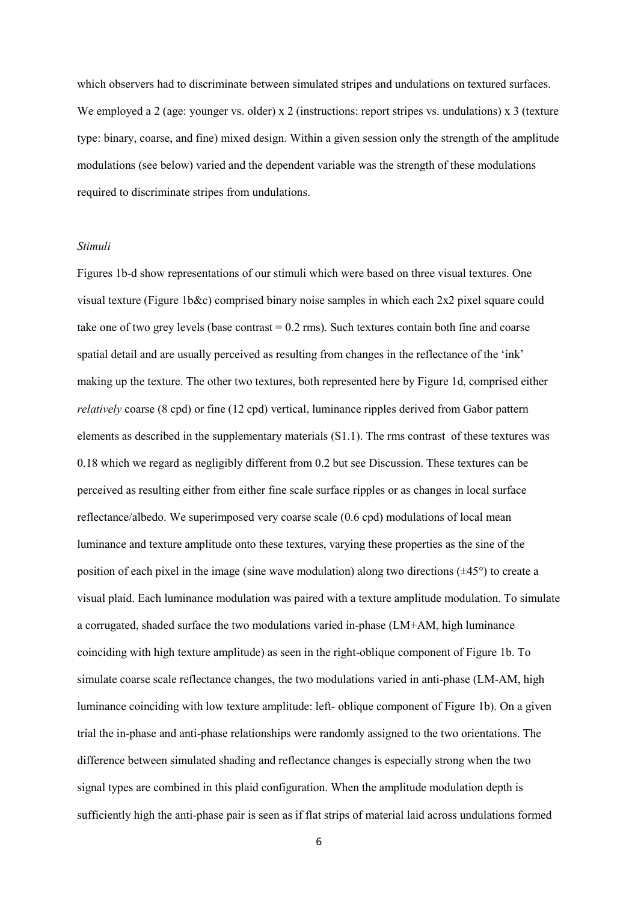which observers had to discriminate between simulated stripes and undulations on textured surfaces. We employed a 2 (age: younger vs. older) x 2 (instructions: report stripes vs. undulations) x 3 (texture type: binary, coarse, and fine) mixed design. Within a given session only the strength of the amplitude modulations (see below) varied and the dependent variable was the strength of these modulations required to discriminate stripes from undulations.

#### *Stimuli*

Figures 1b-d show representations of our stimuli which were based on three visual textures. One visual texture (Figure 1b $\&c$ ) comprised binary noise samples in which each  $2x2$  pixel square could take one of two grey levels (base contrast  $= 0.2$  rms). Such textures contain both fine and coarse spatial detail and are usually perceived as resulting from changes in the reflectance of the 'ink' making up the texture. The other two textures, both represented here by Figure 1d, comprised either *relatively* coarse (8 cpd) or fine (12 cpd) vertical, luminance ripples derived from Gabor pattern elements as described in the supplementary materials (S1.1). The rms contrast of these textures was 0.18 which we regard as negligibly different from 0.2 but see Discussion. These textures can be perceived as resulting either from either fine scale surface ripples or as changes in local surface reflectance/albedo. We superimposed very coarse scale (0.6 cpd) modulations of local mean luminance and texture amplitude onto these textures, varying these properties as the sine of the position of each pixel in the image (sine wave modulation) along two directions  $(\pm 45^{\circ})$  to create a visual plaid. Each luminance modulation was paired with a texture amplitude modulation. To simulate a corrugated, shaded surface the two modulations varied in-phase (LM+AM, high luminance coinciding with high texture amplitude) as seen in the right-oblique component of Figure 1b. To simulate coarse scale reflectance changes, the two modulations varied in anti-phase (LM-AM, high luminance coinciding with low texture amplitude: left- oblique component of Figure 1b). On a given trial the in-phase and anti-phase relationships were randomly assigned to the two orientations. The difference between simulated shading and reflectance changes is especially strong when the two signal types are combined in this plaid configuration. When the amplitude modulation depth is sufficiently high the anti-phase pair is seen as if flat strips of material laid across undulations formed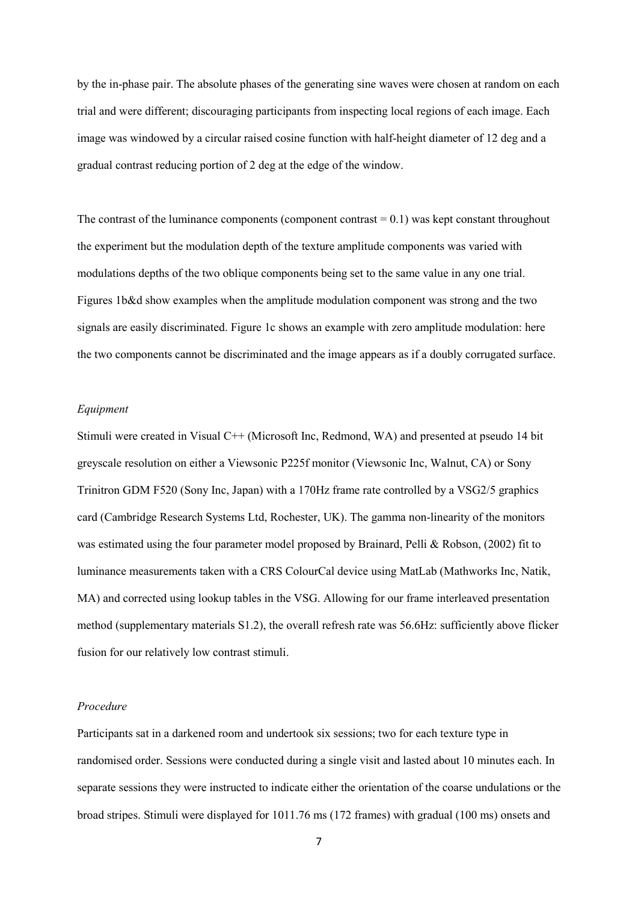by the in-phase pair. The absolute phases of the generating sine waves were chosen at random on each trial and were different; discouraging participants from inspecting local regions of each image. Each image was windowed by a circular raised cosine function with half-height diameter of 12 deg and a gradual contrast reducing portion of 2 deg at the edge of the window.

The contrast of the luminance components (component contrast  $= 0.1$ ) was kept constant throughout the experiment but the modulation depth of the texture amplitude components was varied with modulations depths of the two oblique components being set to the same value in any one trial. Figures 1b&d show examples when the amplitude modulation component was strong and the two signals are easily discriminated. Figure 1c shows an example with zero amplitude modulation: here the two components cannot be discriminated and the image appears as if a doubly corrugated surface.

#### *Equipment*

Stimuli were created in Visual C++ (Microsoft Inc, Redmond, WA) and presented at pseudo 14 bit greyscale resolution on either a Viewsonic P225f monitor (Viewsonic Inc, Walnut, CA) or Sony Trinitron GDM F520 (Sony Inc, Japan) with a 170Hz frame rate controlled by a VSG2/5 graphics card (Cambridge Research Systems Ltd, Rochester, UK). The gamma non-linearity of the monitors was estimated using the four parameter model proposed by Brainard, Pelli & Robson, (2002) fit to luminance measurements taken with a CRS ColourCal device using MatLab (Mathworks Inc, Natik, MA) and corrected using lookup tables in the VSG. Allowing for our frame interleaved presentation method (supplementary materials S1.2), the overall refresh rate was 56.6Hz: sufficiently above flicker fusion for our relatively low contrast stimuli.

## *Procedure*

Participants sat in a darkened room and undertook six sessions; two for each texture type in randomised order. Sessions were conducted during a single visit and lasted about 10 minutes each. In separate sessions they were instructed to indicate either the orientation of the coarse undulations or the broad stripes. Stimuli were displayed for 1011.76 ms (172 frames) with gradual (100 ms) onsets and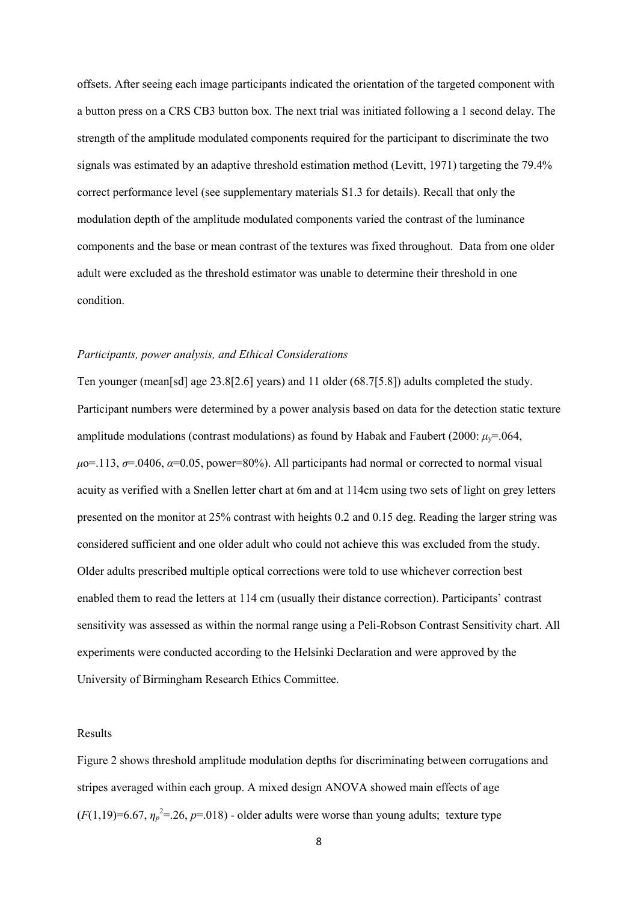offsets. After seeing each image participants indicated the orientation of the targeted component with a button press on a CRS CB3 button box. The next trial was initiated following a 1 second delay. The strength of the amplitude modulated components required for the participant to discriminate the two signals was estimated by an adaptive threshold estimation method (Levitt, 1971) targeting the 79.4% correct performance level (see supplementary materials S1.3 for details). Recall that only the modulation depth of the amplitude modulated components varied the contrast of the luminance components and the base or mean contrast of the textures was fixed throughout. Data from one older adult were excluded as the threshold estimator was unable to determine their threshold in one condition.

#### *Participants, power analysis, and Ethical Considerations*

Ten younger (mean[sd] age 23.8[2.6] years) and 11 older (68.7[5.8]) adults completed the study. Participant numbers were determined by a power analysis based on data for the detection static texture amplitude modulations (contrast modulations) as found by Habak and Faubert (2000:  $\mu_v$ =.064,  $\mu$ o=.113,  $\sigma$ =.0406,  $\alpha$ =0.05, power=80%). All participants had normal or corrected to normal visual acuity as verified with a Snellen letter chart at 6m and at 114cm using two sets of light on grey letters presented on the monitor at 25% contrast with heights 0.2 and 0.15 deg. Reading the larger string was considered sufficient and one older adult who could not achieve this was excluded from the study. Older adults prescribed multiple optical corrections were told to use whichever correction best enabled them to read the letters at 114 cm (usually their distance correction). Participants' contrast sensitivity was assessed as within the normal range using a Peli-Robson Contrast Sensitivity chart. All experiments were conducted according to the Helsinki Declaration and were approved by the University of Birmingham Research Ethics Committee.

## Results

Figure 2 shows threshold amplitude modulation depths for discriminating between corrugations and stripes averaged within each group. A mixed design ANOVA showed main effects of age  $(F(1,19)=6.67, \eta_p^2=26, p=.018)$  - older adults were worse than young adults; texture type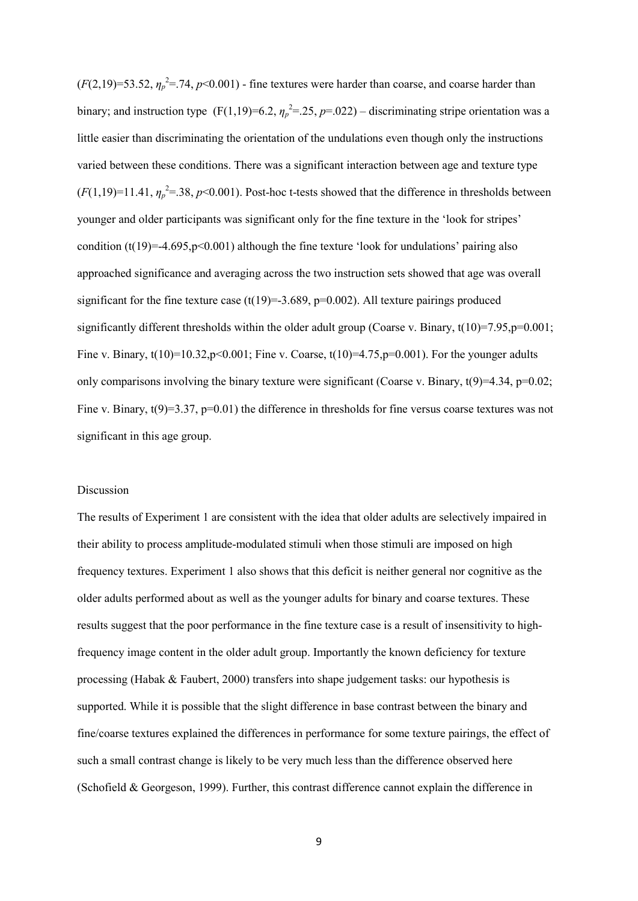$(F(2,19)=53.52, \eta_p^2=74, p<0.001)$  - fine textures were harder than coarse, and coarse harder than binary; and instruction type  $(F(1,19)=6.2, \eta_p^2=25, p=.022)$  – discriminating stripe orientation was a little easier than discriminating the orientation of the undulations even though only the instructions varied between these conditions. There was a significant interaction between age and texture type  $(F(1,19)=11.41, \eta_p^2=38, p<0.001)$ . Post-hoc t-tests showed that the difference in thresholds between younger and older participants was significant only for the fine texture in the 'look for stripes' condition (t(19)=-4.695,p<0.001) although the fine texture 'look for undulations' pairing also approached significance and averaging across the two instruction sets showed that age was overall significant for the fine texture case (t(19)=-3.689, p=0.002). All texture pairings produced significantly different thresholds within the older adult group (Coarse v. Binary, t(10)=7.95,p=0.001; Fine v. Binary,  $t(10)=10.32$ ,  $p<0.001$ ; Fine v. Coarse,  $t(10)=4.75$ ,  $p=0.001$ ). For the younger adults only comparisons involving the binary texture were significant (Coarse v. Binary,  $t(9)=4.34$ ,  $p=0.02$ ; Fine v. Binary,  $t(9)=3.37$ ,  $p=0.01$ ) the difference in thresholds for fine versus coarse textures was not significant in this age group.

## Discussion

The results of Experiment 1 are consistent with the idea that older adults are selectively impaired in their ability to process amplitude-modulated stimuli when those stimuli are imposed on high frequency textures. Experiment 1 also shows that this deficit is neither general nor cognitive as the older adults performed about as well as the younger adults for binary and coarse textures. These results suggest that the poor performance in the fine texture case is a result of insensitivity to highfrequency image content in the older adult group. Importantly the known deficiency for texture processing (Habak & Faubert, 2000) transfers into shape judgement tasks: our hypothesis is supported. While it is possible that the slight difference in base contrast between the binary and fine/coarse textures explained the differences in performance for some texture pairings, the effect of such a small contrast change is likely to be very much less than the difference observed here (Schofield & Georgeson, 1999). Further, this contrast difference cannot explain the difference in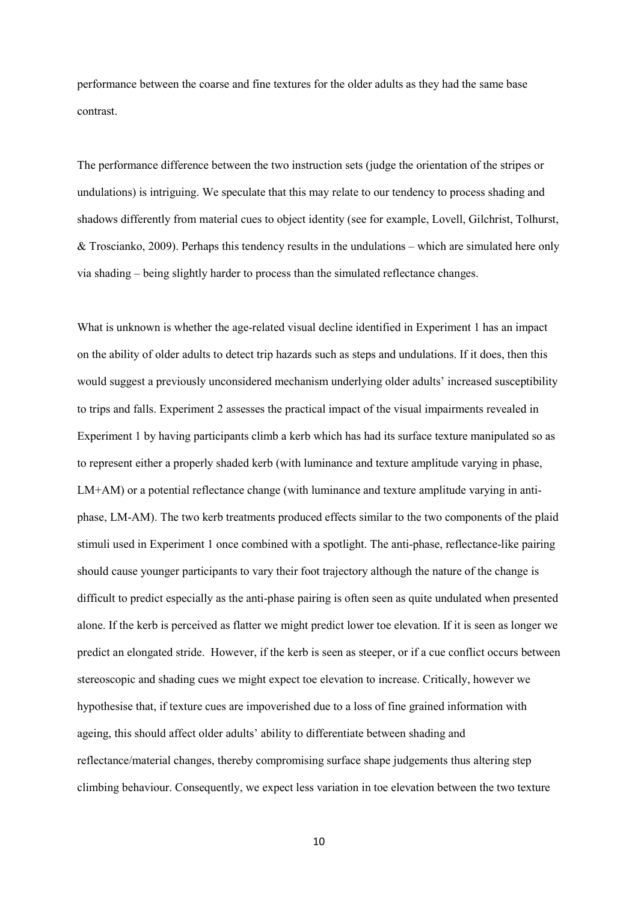performance between the coarse and fine textures for the older adults as they had the same base contrast.

The performance difference between the two instruction sets (judge the orientation of the stripes or undulations) is intriguing. We speculate that this may relate to our tendency to process shading and shadows differently from material cues to object identity (see for example, Lovell, Gilchrist, Tolhurst, & Troscianko, 2009). Perhaps this tendency results in the undulations – which are simulated here only via shading – being slightly harder to process than the simulated reflectance changes.

What is unknown is whether the age-related visual decline identified in Experiment 1 has an impact on the ability of older adults to detect trip hazards such as steps and undulations. If it does, then this would suggest a previously unconsidered mechanism underlying older adults' increased susceptibility to trips and falls. Experiment 2 assesses the practical impact of the visual impairments revealed in Experiment 1 by having participants climb a kerb which has had its surface texture manipulated so as to represent either a properly shaded kerb (with luminance and texture amplitude varying in phase, LM+AM) or a potential reflectance change (with luminance and texture amplitude varying in antiphase, LM-AM). The two kerb treatments produced effects similar to the two components of the plaid stimuli used in Experiment 1 once combined with a spotlight. The anti-phase, reflectance-like pairing should cause younger participants to vary their foot trajectory although the nature of the change is difficult to predict especially as the anti-phase pairing is often seen as quite undulated when presented alone. If the kerb is perceived as flatter we might predict lower toe elevation. If it is seen as longer we predict an elongated stride. However, if the kerb is seen as steeper, or if a cue conflict occurs between stereoscopic and shading cues we might expect toe elevation to increase. Critically, however we hypothesise that, if texture cues are impoverished due to a loss of fine grained information with ageing, this should affect older adults' ability to differentiate between shading and reflectance/material changes, thereby compromising surface shape judgements thus altering step climbing behaviour. Consequently, we expect less variation in toe elevation between the two texture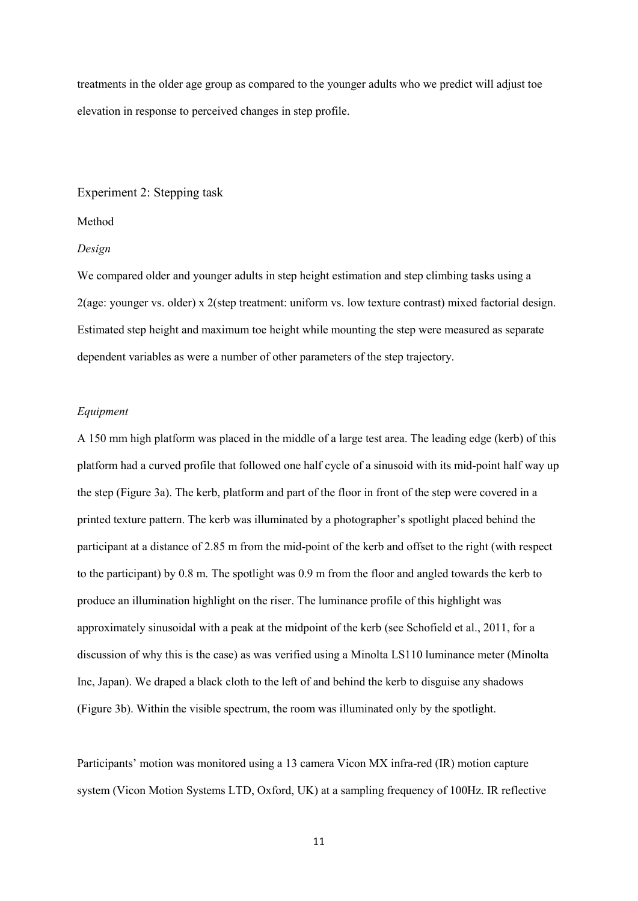treatments in the older age group as compared to the younger adults who we predict will adjust toe elevation in response to perceived changes in step profile.

## Experiment 2: Stepping task

# Method

#### *Design*

We compared older and younger adults in step height estimation and step climbing tasks using a 2(age: younger vs. older) x 2(step treatment: uniform vs. low texture contrast) mixed factorial design. Estimated step height and maximum toe height while mounting the step were measured as separate dependent variables as were a number of other parameters of the step trajectory.

## *Equipment*

A 150 mm high platform was placed in the middle of a large test area. The leading edge (kerb) of this platform had a curved profile that followed one half cycle of a sinusoid with its mid-point half way up the step (Figure 3a). The kerb, platform and part of the floor in front of the step were covered in a printed texture pattern. The kerb was illuminated by a photographer's spotlight placed behind the participant at a distance of 2.85 m from the mid-point of the kerb and offset to the right (with respect to the participant) by 0.8 m. The spotlight was 0.9 m from the floor and angled towards the kerb to produce an illumination highlight on the riser. The luminance profile of this highlight was approximately sinusoidal with a peak at the midpoint of the kerb (see Schofield et al., 2011, for a discussion of why this is the case) as was verified using a Minolta LS110 luminance meter (Minolta Inc, Japan). We draped a black cloth to the left of and behind the kerb to disguise any shadows (Figure 3b). Within the visible spectrum, the room was illuminated only by the spotlight.

Participants' motion was monitored using a 13 camera Vicon MX infra-red (IR) motion capture system (Vicon Motion Systems LTD, Oxford, UK) at a sampling frequency of 100Hz. IR reflective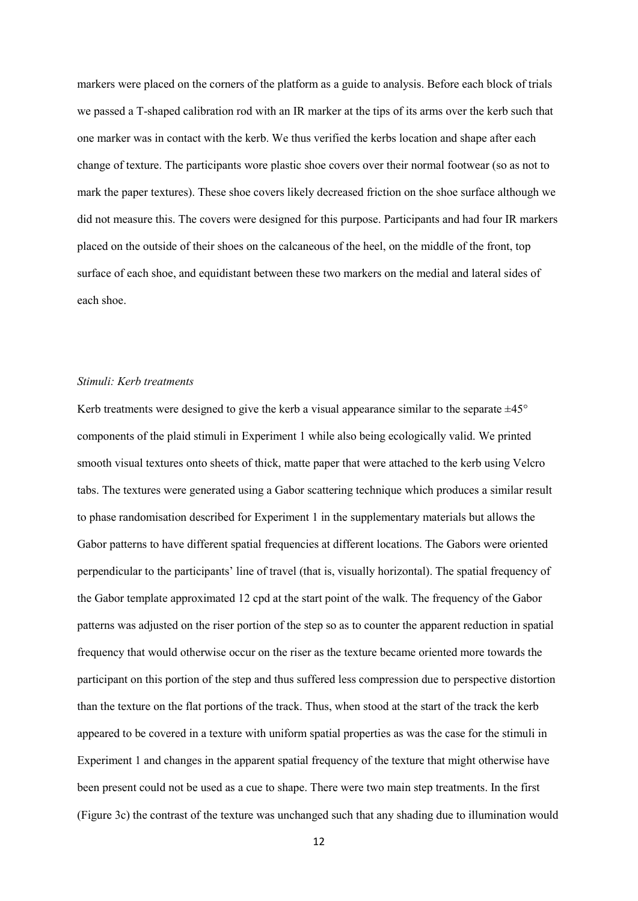markers were placed on the corners of the platform as a guide to analysis. Before each block of trials we passed a T-shaped calibration rod with an IR marker at the tips of its arms over the kerb such that one marker was in contact with the kerb. We thus verified the kerbs location and shape after each change of texture. The participants wore plastic shoe covers over their normal footwear (so as not to mark the paper textures). These shoe covers likely decreased friction on the shoe surface although we did not measure this. The covers were designed for this purpose. Participants and had four IR markers placed on the outside of their shoes on the calcaneous of the heel, on the middle of the front, top surface of each shoe, and equidistant between these two markers on the medial and lateral sides of each shoe.

# *Stimuli: Kerb treatments*

Kerb treatments were designed to give the kerb a visual appearance similar to the separate  $\pm 45^{\circ}$ components of the plaid stimuli in Experiment 1 while also being ecologically valid. We printed smooth visual textures onto sheets of thick, matte paper that were attached to the kerb using Velcro tabs. The textures were generated using a Gabor scattering technique which produces a similar result to phase randomisation described for Experiment 1 in the supplementary materials but allows the Gabor patterns to have different spatial frequencies at different locations. The Gabors were oriented perpendicular to the participants' line of travel (that is, visually horizontal). The spatial frequency of the Gabor template approximated 12 cpd at the start point of the walk. The frequency of the Gabor patterns was adjusted on the riser portion of the step so as to counter the apparent reduction in spatial frequency that would otherwise occur on the riser as the texture became oriented more towards the participant on this portion of the step and thus suffered less compression due to perspective distortion than the texture on the flat portions of the track. Thus, when stood at the start of the track the kerb appeared to be covered in a texture with uniform spatial properties as was the case for the stimuli in Experiment 1 and changes in the apparent spatial frequency of the texture that might otherwise have been present could not be used as a cue to shape. There were two main step treatments. In the first (Figure 3c) the contrast of the texture was unchanged such that any shading due to illumination would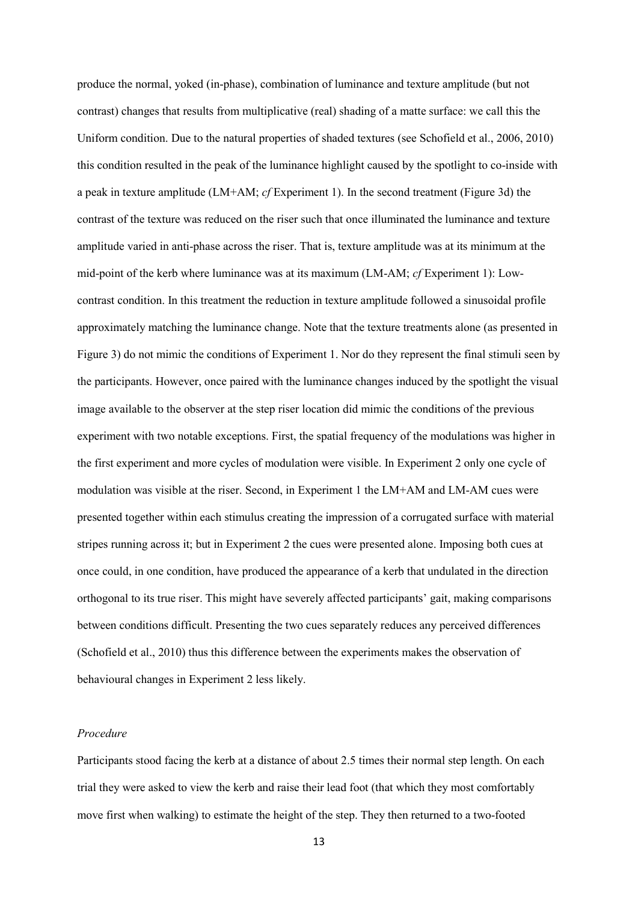produce the normal, yoked (in-phase), combination of luminance and texture amplitude (but not contrast) changes that results from multiplicative (real) shading of a matte surface: we call this the Uniform condition. Due to the natural properties of shaded textures (see Schofield et al., 2006, 2010) this condition resulted in the peak of the luminance highlight caused by the spotlight to co-inside with a peak in texture amplitude (LM+AM; *cf* Experiment 1). In the second treatment (Figure 3d) the contrast of the texture was reduced on the riser such that once illuminated the luminance and texture amplitude varied in anti-phase across the riser. That is, texture amplitude was at its minimum at the mid-point of the kerb where luminance was at its maximum (LM-AM; *cf* Experiment 1): Lowcontrast condition. In this treatment the reduction in texture amplitude followed a sinusoidal profile approximately matching the luminance change. Note that the texture treatments alone (as presented in Figure 3) do not mimic the conditions of Experiment 1. Nor do they represent the final stimuli seen by the participants. However, once paired with the luminance changes induced by the spotlight the visual image available to the observer at the step riser location did mimic the conditions of the previous experiment with two notable exceptions. First, the spatial frequency of the modulations was higher in the first experiment and more cycles of modulation were visible. In Experiment 2 only one cycle of modulation was visible at the riser. Second, in Experiment 1 the LM+AM and LM-AM cues were presented together within each stimulus creating the impression of a corrugated surface with material stripes running across it; but in Experiment 2 the cues were presented alone. Imposing both cues at once could, in one condition, have produced the appearance of a kerb that undulated in the direction orthogonal to its true riser. This might have severely affected participants' gait, making comparisons between conditions difficult. Presenting the two cues separately reduces any perceived differences (Schofield et al., 2010) thus this difference between the experiments makes the observation of behavioural changes in Experiment 2 less likely.

# *Procedure*

Participants stood facing the kerb at a distance of about 2.5 times their normal step length. On each trial they were asked to view the kerb and raise their lead foot (that which they most comfortably move first when walking) to estimate the height of the step. They then returned to a two-footed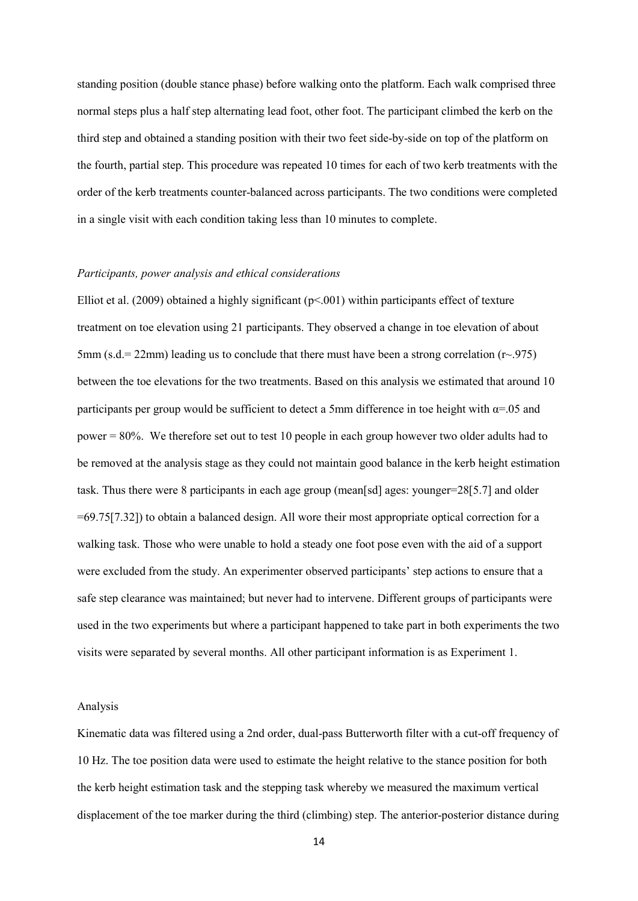standing position (double stance phase) before walking onto the platform. Each walk comprised three normal steps plus a half step alternating lead foot, other foot. The participant climbed the kerb on the third step and obtained a standing position with their two feet side-by-side on top of the platform on the fourth, partial step. This procedure was repeated 10 times for each of two kerb treatments with the order of the kerb treatments counter-balanced across participants. The two conditions were completed in a single visit with each condition taking less than 10 minutes to complete.

## *Participants, power analysis and ethical considerations*

Elliot et al. (2009) obtained a highly significant ( $p<001$ ) within participants effect of texture treatment on toe elevation using 21 participants. They observed a change in toe elevation of about 5mm (s.d. = 22mm) leading us to conclude that there must have been a strong correlation ( $r\sim$ .975) between the toe elevations for the two treatments. Based on this analysis we estimated that around 10 participants per group would be sufficient to detect a 5mm difference in toe height with  $\alpha$ =.05 and power = 80%. We therefore set out to test 10 people in each group however two older adults had to be removed at the analysis stage as they could not maintain good balance in the kerb height estimation task. Thus there were 8 participants in each age group (mean[sd] ages: younger=28[5.7] and older =69.75[7.32]) to obtain a balanced design. All wore their most appropriate optical correction for a walking task. Those who were unable to hold a steady one foot pose even with the aid of a support were excluded from the study. An experimenter observed participants' step actions to ensure that a safe step clearance was maintained; but never had to intervene. Different groups of participants were used in the two experiments but where a participant happened to take part in both experiments the two visits were separated by several months. All other participant information is as Experiment 1.

#### Analysis

Kinematic data was filtered using a 2nd order, dual-pass Butterworth filter with a cut-off frequency of 10 Hz. The toe position data were used to estimate the height relative to the stance position for both the kerb height estimation task and the stepping task whereby we measured the maximum vertical displacement of the toe marker during the third (climbing) step. The anterior-posterior distance during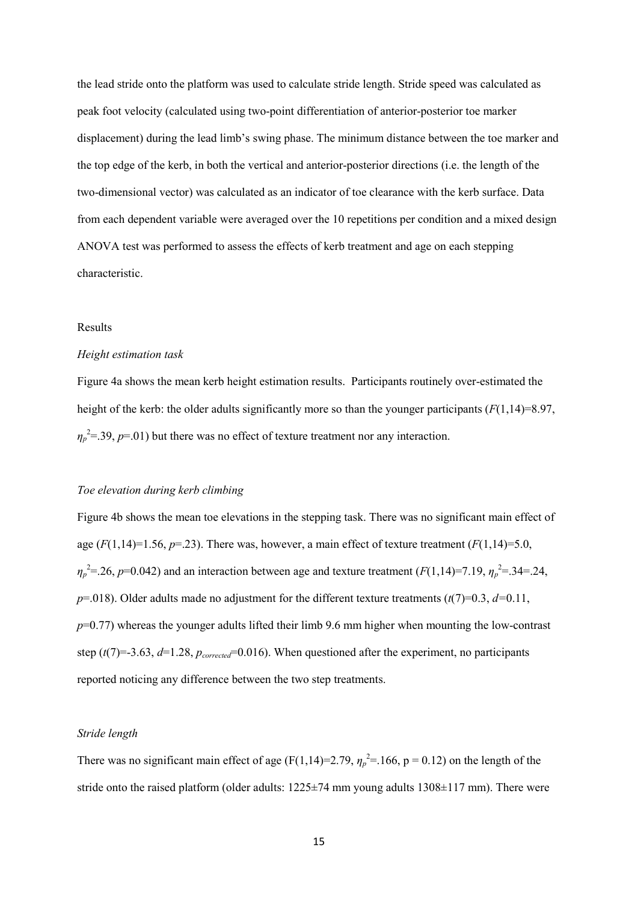the lead stride onto the platform was used to calculate stride length. Stride speed was calculated as peak foot velocity (calculated using two-point differentiation of anterior-posterior toe marker displacement) during the lead limb's swing phase. The minimum distance between the toe marker and the top edge of the kerb, in both the vertical and anterior-posterior directions (i.e. the length of the two-dimensional vector) was calculated as an indicator of toe clearance with the kerb surface. Data from each dependent variable were averaged over the 10 repetitions per condition and a mixed design ANOVA test was performed to assess the effects of kerb treatment and age on each stepping characteristic.

#### Results

## *Height estimation task*

Figure 4a shows the mean kerb height estimation results. Participants routinely over-estimated the height of the kerb: the older adults significantly more so than the younger participants  $(F(1,14)=8.97)$ ,  $\eta_p^2$ =.39, *p*=.01) but there was no effect of texture treatment nor any interaction.

# *Toe elevation during kerb climbing*

Figure 4b shows the mean toe elevations in the stepping task. There was no significant main effect of age  $(F(1,14)=1.56, p=.23)$ . There was, however, a main effect of texture treatment  $(F(1,14)=5.0, p=.23)$ .  $\eta_p^2 = 26$ , *p*=0.042) and an interaction between age and texture treatment (*F*(1,14)=7.19,  $\eta_p^2 = 34 = 24$ , *p*=.018). Older adults made no adjustment for the different texture treatments ( $t(7)=0.3$ ,  $d=0.11$ , *p*=0.77) whereas the younger adults lifted their limb 9.6 mm higher when mounting the low-contrast step  $(t(7)=3.63, d=1.28, p_{corrected}=0.016)$ . When questioned after the experiment, no participants reported noticing any difference between the two step treatments.

# *Stride length*

There was no significant main effect of age (F(1,14)=2.79,  $\eta_p^2$ =.166, p = 0.12) on the length of the stride onto the raised platform (older adults:  $1225 \pm 74$  mm young adults  $1308 \pm 117$  mm). There were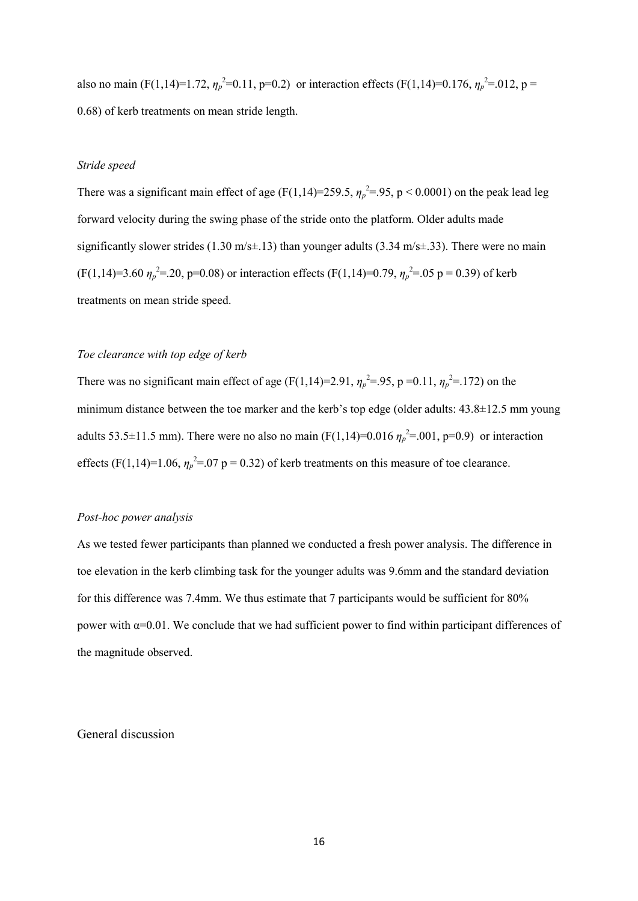also no main (F(1,14)=1.72,  $\eta_p^2$ =0.11, p=0.2) or interaction effects (F(1,14)=0.176,  $\eta_p^2$ =.012, p = 0.68) of kerb treatments on mean stride length.

#### *Stride speed*

There was a significant main effect of age (F(1,14)=259.5,  $\eta_p^2 = 95$ , p < 0.0001) on the peak lead leg forward velocity during the swing phase of the stride onto the platform. Older adults made significantly slower strides (1.30 m/s $\pm$ .13) than younger adults (3.34 m/s $\pm$ .33). There were no main  $(F(1,14)=3.60 \eta_p^2=20, p=0.08)$  or interaction effects  $(F(1,14)=0.79, \eta_p^2=0.05 \text{ p} = 0.39)$  of kerb treatments on mean stride speed.

## *Toe clearance with top edge of kerb*

There was no significant main effect of age (F(1,14)=2.91,  $\eta_p^2 = 0.95$ , p = 0.11,  $\eta_p^2 = 0.172$ ) on the minimum distance between the toe marker and the kerb's top edge (older adults: 43.8±12.5 mm young adults 53.5 $\pm$ 11.5 mm). There were no also no main (F(1,14)=0.016  $\eta_p^2$ =.001, p=0.9) or interaction effects (F(1,14)=1.06,  $\eta_p^2$ =.07 p = 0.32) of kerb treatments on this measure of toe clearance.

#### *Post-hoc power analysis*

As we tested fewer participants than planned we conducted a fresh power analysis. The difference in toe elevation in the kerb climbing task for the younger adults was 9.6mm and the standard deviation for this difference was 7.4mm. We thus estimate that 7 participants would be sufficient for 80% power with  $α=0.01$ . We conclude that we had sufficient power to find within participant differences of the magnitude observed.

General discussion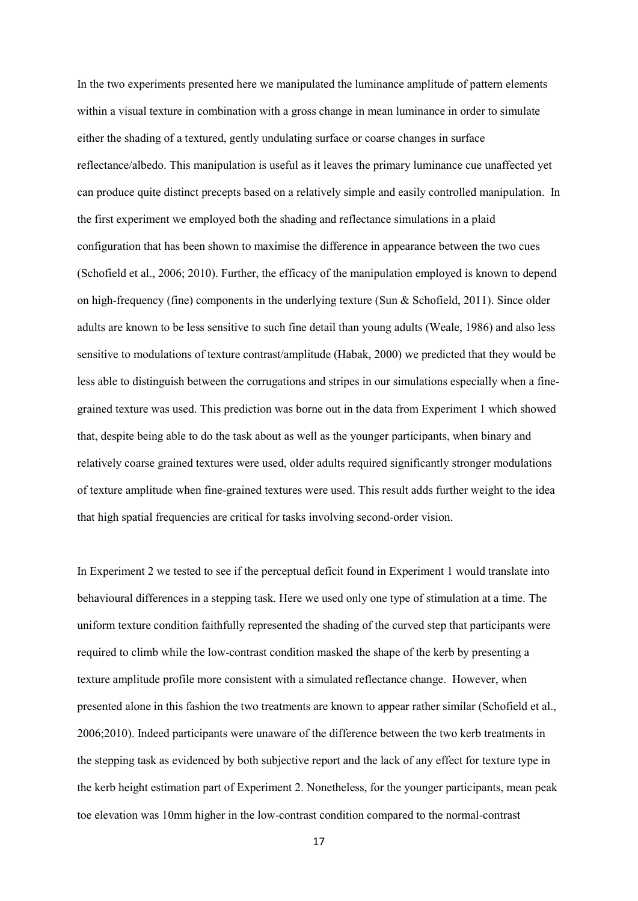In the two experiments presented here we manipulated the luminance amplitude of pattern elements within a visual texture in combination with a gross change in mean luminance in order to simulate either the shading of a textured, gently undulating surface or coarse changes in surface reflectance/albedo. This manipulation is useful as it leaves the primary luminance cue unaffected yet can produce quite distinct precepts based on a relatively simple and easily controlled manipulation. In the first experiment we employed both the shading and reflectance simulations in a plaid configuration that has been shown to maximise the difference in appearance between the two cues (Schofield et al., 2006; 2010). Further, the efficacy of the manipulation employed is known to depend on high-frequency (fine) components in the underlying texture (Sun & Schofield, 2011). Since older adults are known to be less sensitive to such fine detail than young adults (Weale, 1986) and also less sensitive to modulations of texture contrast/amplitude (Habak, 2000) we predicted that they would be less able to distinguish between the corrugations and stripes in our simulations especially when a finegrained texture was used. This prediction was borne out in the data from Experiment 1 which showed that, despite being able to do the task about as well as the younger participants, when binary and relatively coarse grained textures were used, older adults required significantly stronger modulations of texture amplitude when fine-grained textures were used. This result adds further weight to the idea that high spatial frequencies are critical for tasks involving second-order vision.

In Experiment 2 we tested to see if the perceptual deficit found in Experiment 1 would translate into behavioural differences in a stepping task. Here we used only one type of stimulation at a time. The uniform texture condition faithfully represented the shading of the curved step that participants were required to climb while the low-contrast condition masked the shape of the kerb by presenting a texture amplitude profile more consistent with a simulated reflectance change. However, when presented alone in this fashion the two treatments are known to appear rather similar (Schofield et al., 2006;2010). Indeed participants were unaware of the difference between the two kerb treatments in the stepping task as evidenced by both subjective report and the lack of any effect for texture type in the kerb height estimation part of Experiment 2. Nonetheless, for the younger participants, mean peak toe elevation was 10mm higher in the low-contrast condition compared to the normal-contrast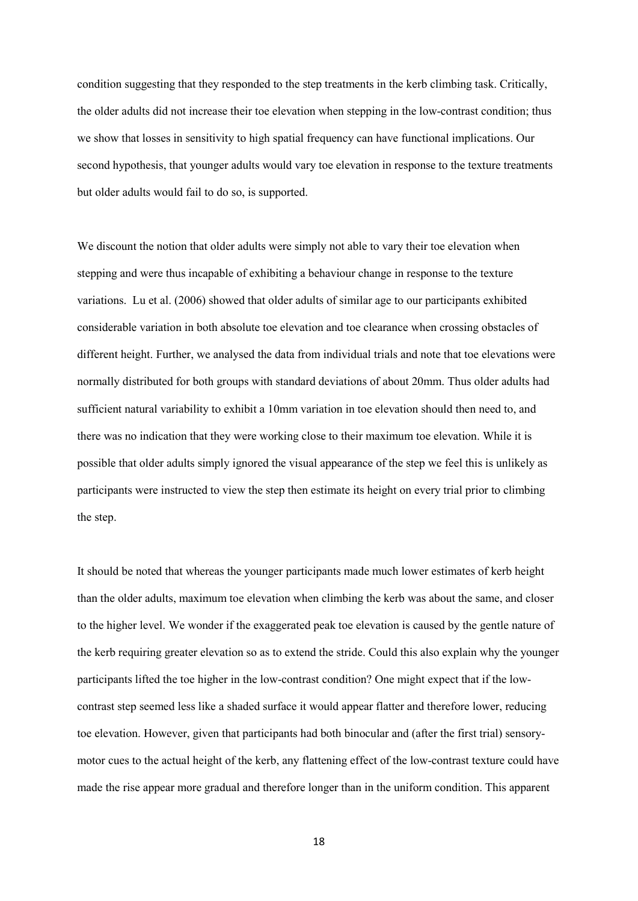condition suggesting that they responded to the step treatments in the kerb climbing task. Critically, the older adults did not increase their toe elevation when stepping in the low-contrast condition; thus we show that losses in sensitivity to high spatial frequency can have functional implications. Our second hypothesis, that younger adults would vary toe elevation in response to the texture treatments but older adults would fail to do so, is supported.

We discount the notion that older adults were simply not able to vary their toe elevation when stepping and were thus incapable of exhibiting a behaviour change in response to the texture variations. Lu et al. (2006) showed that older adults of similar age to our participants exhibited considerable variation in both absolute toe elevation and toe clearance when crossing obstacles of different height. Further, we analysed the data from individual trials and note that toe elevations were normally distributed for both groups with standard deviations of about 20mm. Thus older adults had sufficient natural variability to exhibit a 10mm variation in toe elevation should then need to, and there was no indication that they were working close to their maximum toe elevation. While it is possible that older adults simply ignored the visual appearance of the step we feel this is unlikely as participants were instructed to view the step then estimate its height on every trial prior to climbing the step.

It should be noted that whereas the younger participants made much lower estimates of kerb height than the older adults, maximum toe elevation when climbing the kerb was about the same, and closer to the higher level. We wonder if the exaggerated peak toe elevation is caused by the gentle nature of the kerb requiring greater elevation so as to extend the stride. Could this also explain why the younger participants lifted the toe higher in the low-contrast condition? One might expect that if the lowcontrast step seemed less like a shaded surface it would appear flatter and therefore lower, reducing toe elevation. However, given that participants had both binocular and (after the first trial) sensorymotor cues to the actual height of the kerb, any flattening effect of the low-contrast texture could have made the rise appear more gradual and therefore longer than in the uniform condition. This apparent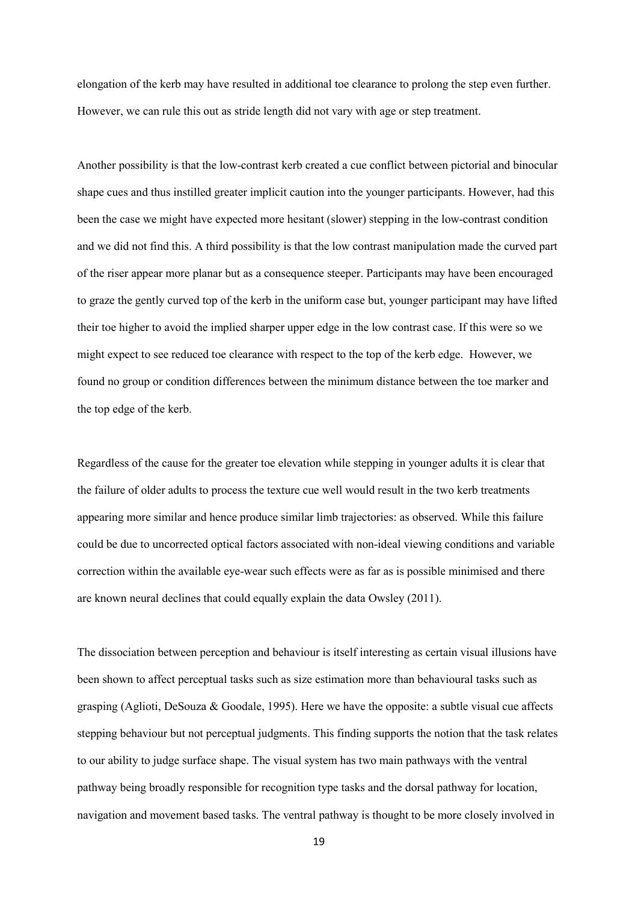elongation of the kerb may have resulted in additional toe clearance to prolong the step even further. However, we can rule this out as stride length did not vary with age or step treatment.

Another possibility is that the low-contrast kerb created a cue conflict between pictorial and binocular shape cues and thus instilled greater implicit caution into the younger participants. However, had this been the case we might have expected more hesitant (slower) stepping in the low-contrast condition and we did not find this. A third possibility is that the low contrast manipulation made the curved part of the riser appear more planar but as a consequence steeper. Participants may have been encouraged to graze the gently curved top of the kerb in the uniform case but, younger participant may have lifted their toe higher to avoid the implied sharper upper edge in the low contrast case. If this were so we might expect to see reduced toe clearance with respect to the top of the kerb edge. However, we found no group or condition differences between the minimum distance between the toe marker and the top edge of the kerb.

Regardless of the cause for the greater toe elevation while stepping in younger adults it is clear that the failure of older adults to process the texture cue well would result in the two kerb treatments appearing more similar and hence produce similar limb trajectories: as observed. While this failure could be due to uncorrected optical factors associated with non-ideal viewing conditions and variable correction within the available eye-wear such effects were as far as is possible minimised and there are known neural declines that could equally explain the data Owsley (2011).

The dissociation between perception and behaviour is itself interesting as certain visual illusions have been shown to affect perceptual tasks such as size estimation more than behavioural tasks such as grasping (Aglioti, DeSouza & Goodale, 1995). Here we have the opposite: a subtle visual cue affects stepping behaviour but not perceptual judgments. This finding supports the notion that the task relates to our ability to judge surface shape. The visual system has two main pathways with the ventral pathway being broadly responsible for recognition type tasks and the dorsal pathway for location, navigation and movement based tasks. The ventral pathway is thought to be more closely involved in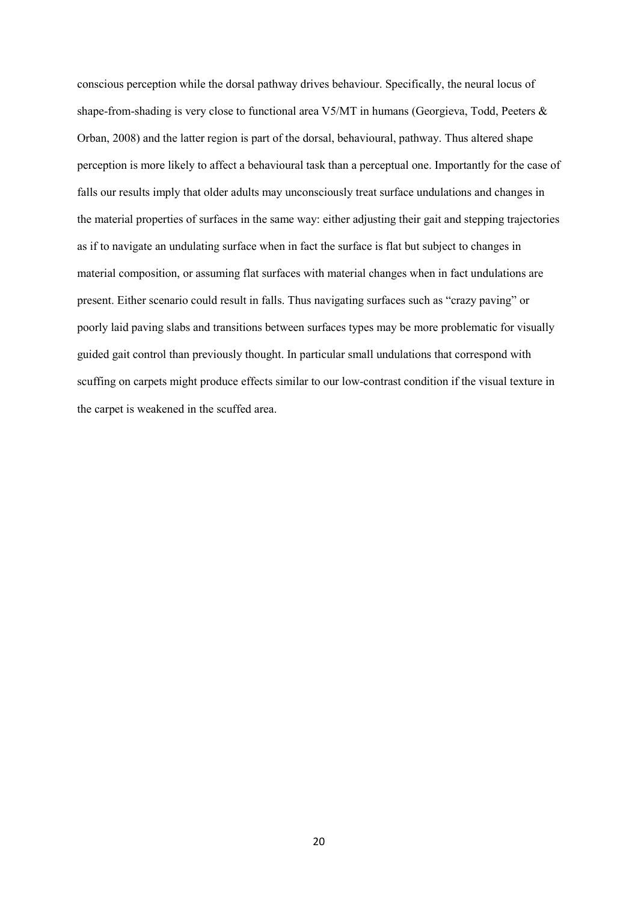conscious perception while the dorsal pathway drives behaviour. Specifically, the neural locus of shape-from-shading is very close to functional area V5/MT in humans (Georgieva, Todd, Peeters & Orban, 2008) and the latter region is part of the dorsal, behavioural, pathway. Thus altered shape perception is more likely to affect a behavioural task than a perceptual one. Importantly for the case of falls our results imply that older adults may unconsciously treat surface undulations and changes in the material properties of surfaces in the same way: either adjusting their gait and stepping trajectories as if to navigate an undulating surface when in fact the surface is flat but subject to changes in material composition, or assuming flat surfaces with material changes when in fact undulations are present. Either scenario could result in falls. Thus navigating surfaces such as "crazy paving" or poorly laid paving slabs and transitions between surfaces types may be more problematic for visually guided gait control than previously thought. In particular small undulations that correspond with scuffing on carpets might produce effects similar to our low-contrast condition if the visual texture in the carpet is weakened in the scuffed area.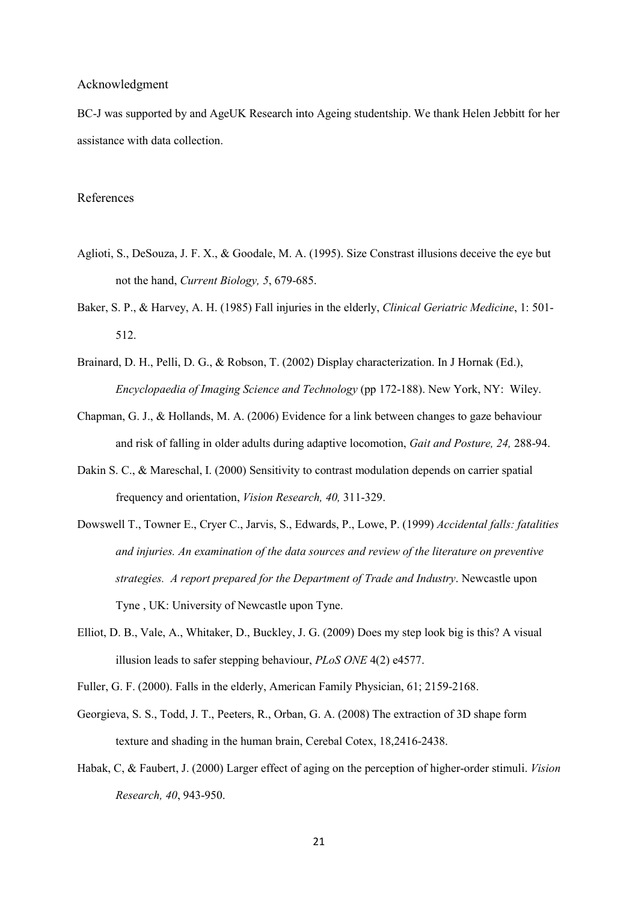## Acknowledgment

BC-J was supported by and AgeUK Research into Ageing studentship. We thank Helen Jebbitt for her assistance with data collection.

## References

- Aglioti, S., DeSouza, J. F. X., & Goodale, M. A. (1995). Size Constrast illusions deceive the eye but not the hand, *Current Biology, 5*, 679-685.
- Baker, S. P., & Harvey, A. H. (1985) Fall injuries in the elderly, *Clinical Geriatric Medicine*, 1: 501- 512.
- Brainard, D. H., Pelli, D. G., & Robson, T. (2002) Display characterization. In J Hornak (Ed.), *Encyclopaedia of Imaging Science and Technology* (pp 172-188). New York, NY: Wiley.
- Chapman, G. J., & Hollands, M. A. (2006) Evidence for a link between changes to gaze behaviour and risk of falling in older adults during adaptive locomotion, *Gait and Posture, 24,* 288-94.
- Dakin S. C., & Mareschal, I. (2000) Sensitivity to contrast modulation depends on carrier spatial frequency and orientation, *Vision Research, 40,* 311-329.
- Dowswell T., Towner E., Cryer C., Jarvis, S., Edwards, P., Lowe, P. (1999) *Accidental falls: fatalities and injuries. An examination of the data sources and review of the literature on preventive strategies. A report prepared for the Department of Trade and Industry*. Newcastle upon Tyne , UK: University of Newcastle upon Tyne.
- Elliot, D. B., Vale, A., Whitaker, D., Buckley, J. G. (2009) Does my step look big is this? A visual illusion leads to safer stepping behaviour, *PLoS ONE* 4(2) e4577.
- Fuller, G. F. (2000). Falls in the elderly, American Family Physician, 61; 2159-2168.
- Georgieva, S. S., Todd, J. T., Peeters, R., Orban, G. A. (2008) The extraction of 3D shape form texture and shading in the human brain, Cerebal Cotex, 18,2416-2438.
- Habak, C, & Faubert, J. (2000) Larger effect of aging on the perception of higher-order stimuli. *Vision Research, 40*, 943-950.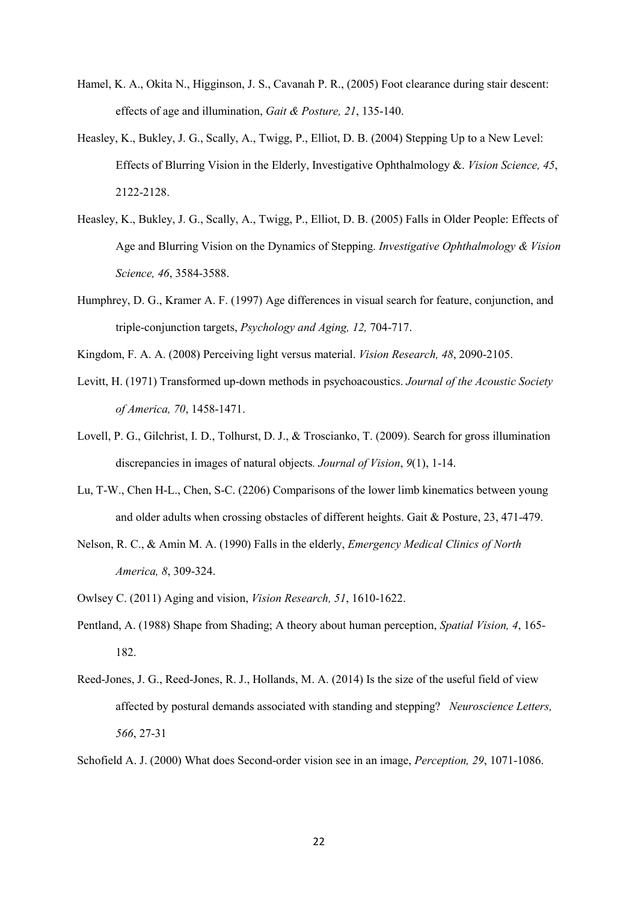- Hamel, K. A., Okita N., Higginson, J. S., Cavanah P. R., (2005) Foot clearance during stair descent: effects of age and illumination, *Gait & Posture, 21*, 135-140.
- Heasley, K., Bukley, J. G., Scally, A., Twigg, P., Elliot, D. B. (2004) Stepping Up to a New Level: Effects of Blurring Vision in the Elderly, Investigative Ophthalmology &. *Vision Science, 45*, 2122-2128.
- Heasley, K., Bukley, J. G., Scally, A., Twigg, P., Elliot, D. B. (2005) Falls in Older People: Effects of Age and Blurring Vision on the Dynamics of Stepping. *Investigative Ophthalmology & Vision Science, 46*, 3584-3588.
- Humphrey, D. G., Kramer A. F. (1997) Age differences in visual search for feature, conjunction, and triple-conjunction targets, *Psychology and Aging, 12,* 704-717.
- Kingdom, F. A. A. (2008) Perceiving light versus material. *Vision Research, 48*, 2090-2105.
- Levitt, H. (1971) Transformed up-down methods in psychoacoustics. *Journal of the Acoustic Society of America, 70*, 1458-1471.
- Lovell, P. G., Gilchrist, I. D., Tolhurst, D. J., & Troscianko, T. (2009). Search for gross illumination discrepancies in images of natural objects*. Journal of Vision*, *9*(1), 1-14.
- Lu, T-W., Chen H-L., Chen, S-C. (2206) Comparisons of the lower limb kinematics between young and older adults when crossing obstacles of different heights. Gait & Posture, 23, 471-479.
- Nelson, R. C., & Amin M. A. (1990) Falls in the elderly, *Emergency Medical Clinics of North America, 8*, 309-324.
- Owlsey C. (2011) Aging and vision, *Vision Research, 51*, 1610-1622.
- Pentland, A. (1988) Shape from Shading; A theory about human perception, *Spatial Vision, 4*, 165- 182.
- Reed-Jones, J. G., Reed-Jones, R. J., Hollands, M. A. (2014) Is the size of the useful field of view affected by postural demands associated with standing and stepping? *Neuroscience Letters, 566*, 27-31
- Schofield A. J. (2000) What does Second-order vision see in an image, *Perception, 29*, 1071-1086.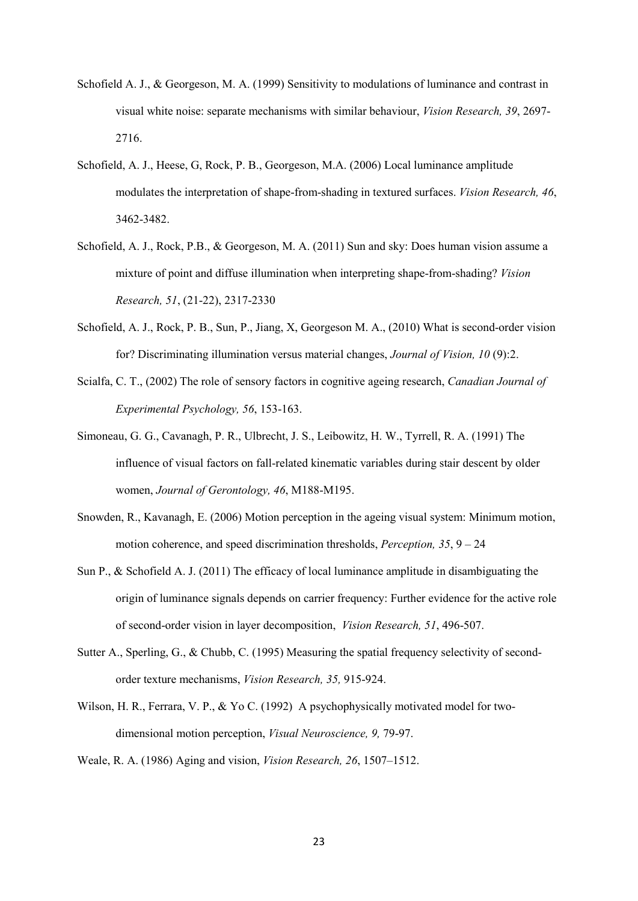- Schofield A. J., & Georgeson, M. A. (1999) Sensitivity to modulations of luminance and contrast in visual white noise: separate mechanisms with similar behaviour, *Vision Research, 39*, 2697- 2716.
- Schofield, A. J., Heese, G, Rock, P. B., Georgeson, M.A. (2006) Local luminance amplitude modulates the interpretation of shape-from-shading in textured surfaces. *Vision Research, 46*, 3462-3482.
- Schofield, A. J., Rock, P.B., & Georgeson, M. A. (2011) Sun and sky: Does human vision assume a mixture of point and diffuse illumination when interpreting shape-from-shading? *Vision Research, 51*, (21-22), 2317-2330
- Schofield, A. J., Rock, P. B., Sun, P., Jiang, X, Georgeson M. A., (2010) What is second-order vision for? Discriminating illumination versus material changes, *Journal of Vision, 10* (9):2.
- Scialfa, C. T., (2002) The role of sensory factors in cognitive ageing research, *Canadian Journal of Experimental Psychology, 56*, 153-163.
- Simoneau, G. G., Cavanagh, P. R., Ulbrecht, J. S., Leibowitz, H. W., Tyrrell, R. A. (1991) The influence of visual factors on fall-related kinematic variables during stair descent by older women, *Journal of Gerontology, 46*, M188-M195.
- Snowden, R., Kavanagh, E. (2006) Motion perception in the ageing visual system: Minimum motion, motion coherence, and speed discrimination thresholds, *Perception, 35*, 9 – 24
- Sun P., & Schofield A. J. (2011) The efficacy of local luminance amplitude in disambiguating the origin of luminance signals depends on carrier frequency: Further evidence for the active role of second-order vision in layer decomposition, *Vision Research, 51*, 496-507.
- Sutter A., Sperling, G., & Chubb, C. (1995) Measuring the spatial frequency selectivity of secondorder texture mechanisms, *Vision Research, 35,* 915-924.
- Wilson, H. R., Ferrara, V. P., & Yo C. (1992) A psychophysically motivated model for twodimensional motion perception, *Visual Neuroscience, 9,* 79-97.
- Weale, R. A. (1986) Aging and vision, *Vision Research, 26*, 1507–1512.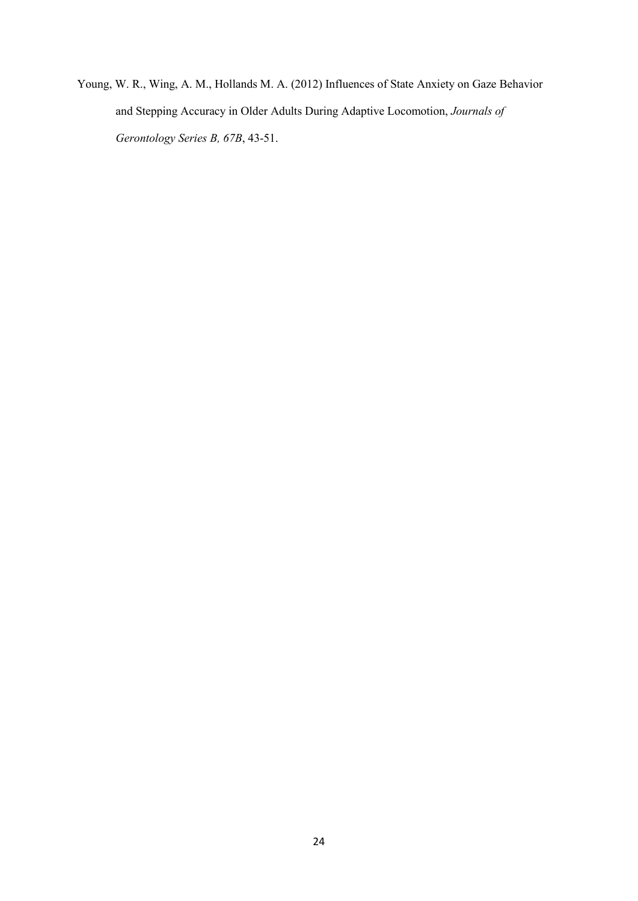Young, W. R., Wing, A. M., Hollands M. A. (2012) Influences of State Anxiety on Gaze Behavior and Stepping Accuracy in Older Adults During Adaptive Locomotion, *Journals of Gerontology Series B, 67B*, 43-51.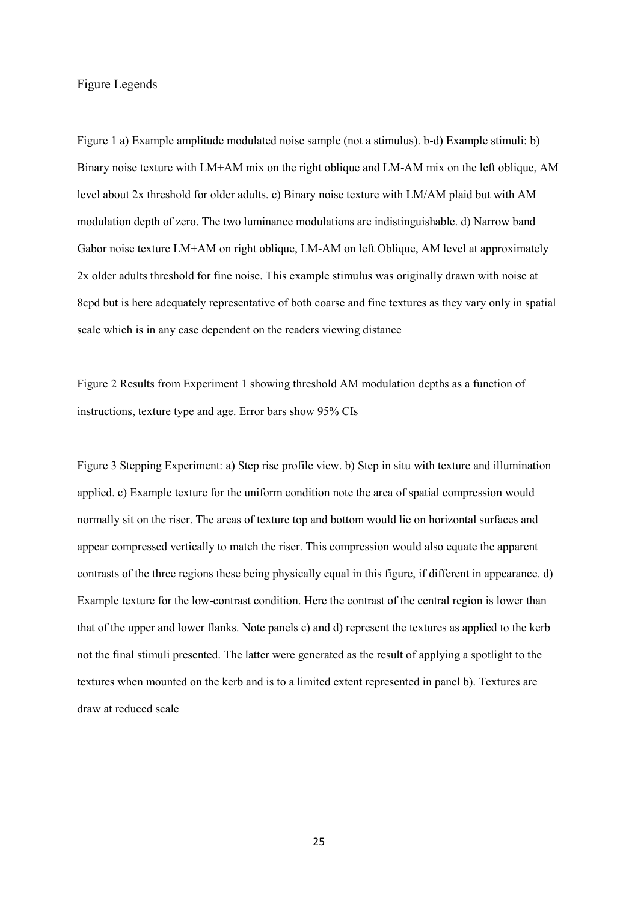## Figure Legends

Figure 1 a) Example amplitude modulated noise sample (not a stimulus). b-d) Example stimuli: b) Binary noise texture with LM+AM mix on the right oblique and LM-AM mix on the left oblique, AM level about 2x threshold for older adults. c) Binary noise texture with LM/AM plaid but with AM modulation depth of zero. The two luminance modulations are indistinguishable. d) Narrow band Gabor noise texture LM+AM on right oblique, LM-AM on left Oblique, AM level at approximately 2x older adults threshold for fine noise. This example stimulus was originally drawn with noise at 8cpd but is here adequately representative of both coarse and fine textures as they vary only in spatial scale which is in any case dependent on the readers viewing distance

Figure 2 Results from Experiment 1 showing threshold AM modulation depths as a function of instructions, texture type and age. Error bars show 95% CIs

Figure 3 Stepping Experiment: a) Step rise profile view. b) Step in situ with texture and illumination applied. c) Example texture for the uniform condition note the area of spatial compression would normally sit on the riser. The areas of texture top and bottom would lie on horizontal surfaces and appear compressed vertically to match the riser. This compression would also equate the apparent contrasts of the three regions these being physically equal in this figure, if different in appearance. d) Example texture for the low-contrast condition. Here the contrast of the central region is lower than that of the upper and lower flanks. Note panels c) and d) represent the textures as applied to the kerb not the final stimuli presented. The latter were generated as the result of applying a spotlight to the textures when mounted on the kerb and is to a limited extent represented in panel b). Textures are draw at reduced scale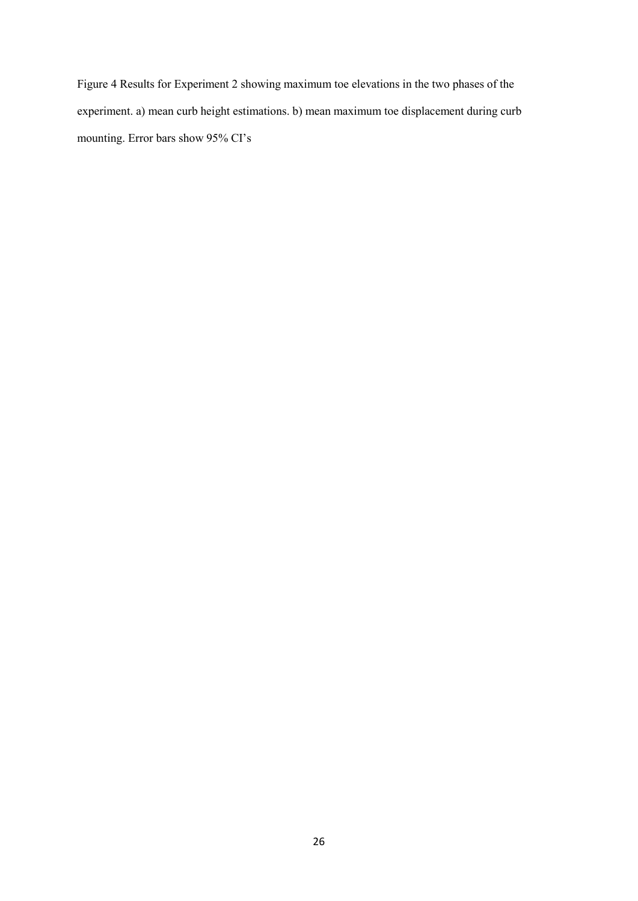Figure 4 Results for Experiment 2 showing maximum toe elevations in the two phases of the experiment. a) mean curb height estimations. b) mean maximum toe displacement during curb mounting. Error bars show 95% CI's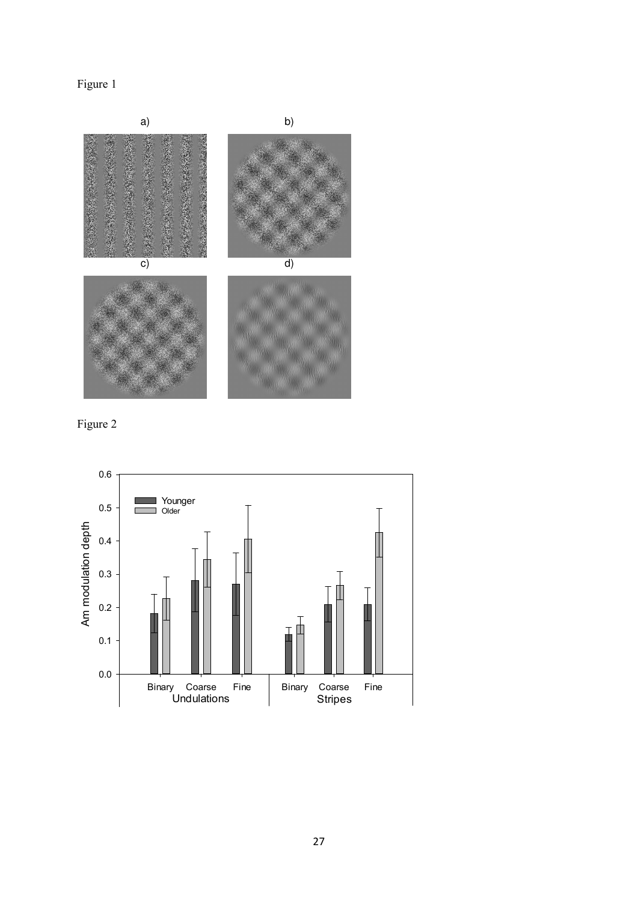| σT<br>н |  |
|---------|--|
|         |  |



Figure 2

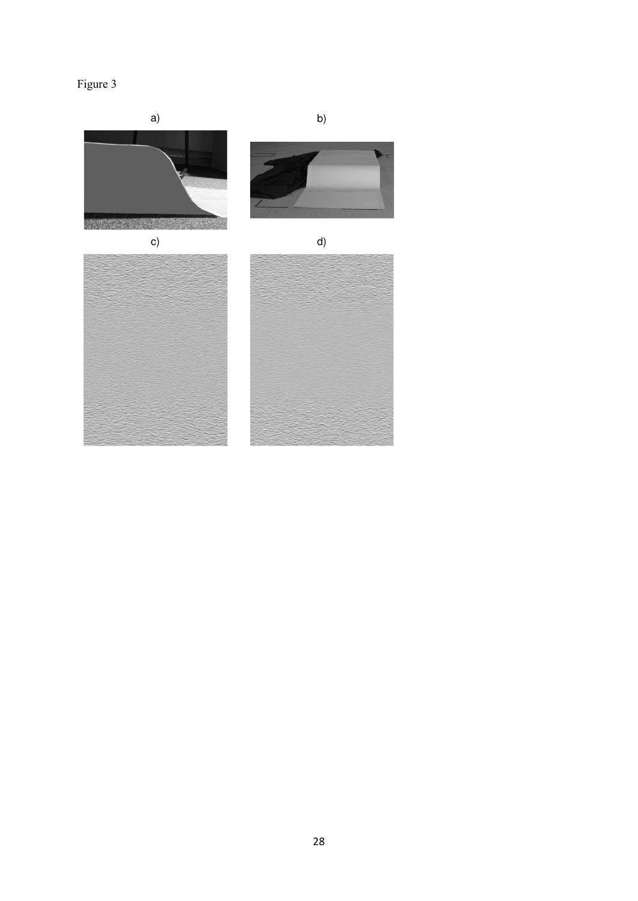| onr |  |
|-----|--|
|     |  |

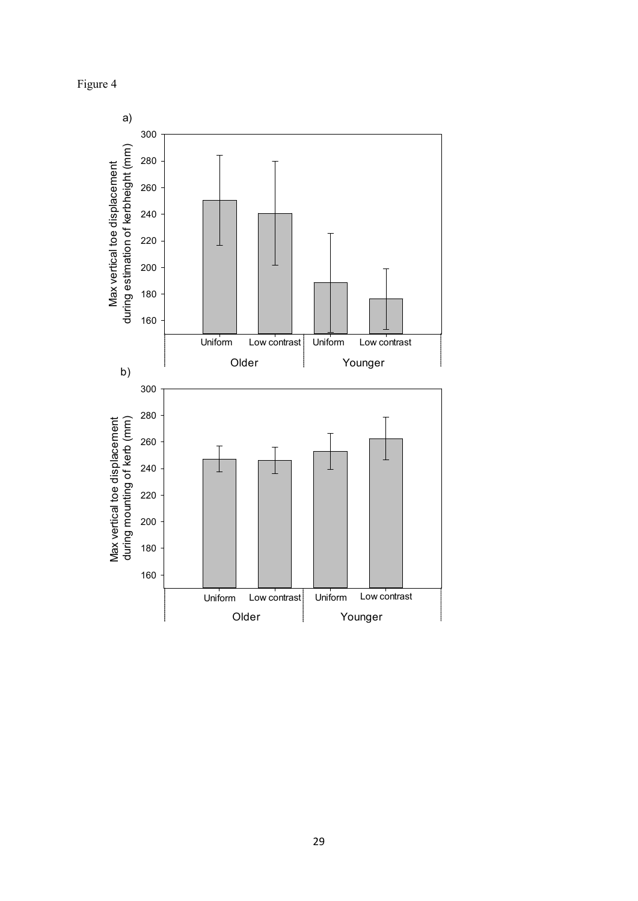Figure 4

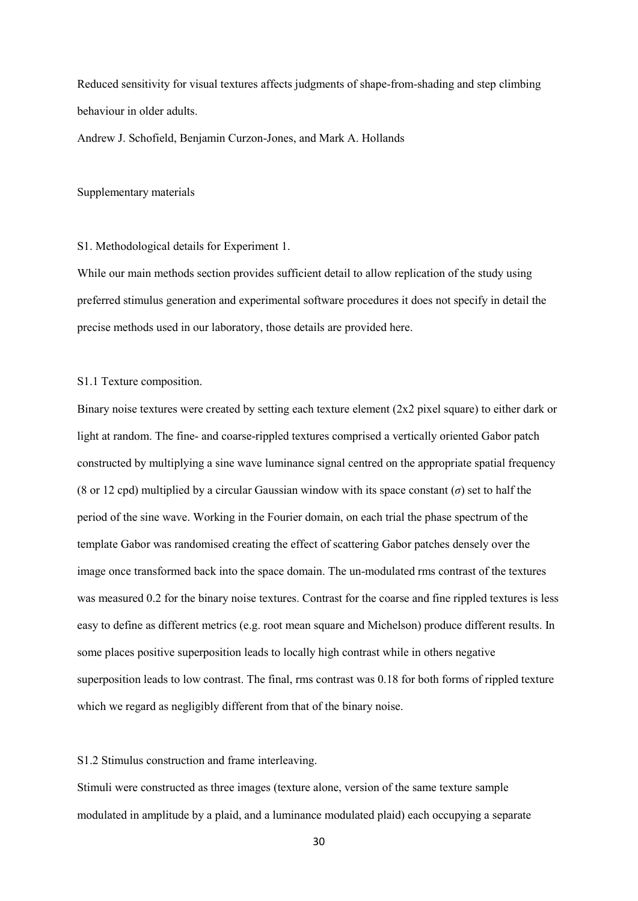Reduced sensitivity for visual textures affects judgments of shape-from-shading and step climbing behaviour in older adults.

Andrew J. Schofield, Benjamin Curzon-Jones, and Mark A. Hollands

### Supplementary materials

S1. Methodological details for Experiment 1.

While our main methods section provides sufficient detail to allow replication of the study using preferred stimulus generation and experimental software procedures it does not specify in detail the precise methods used in our laboratory, those details are provided here.

# S1.1 Texture composition.

Binary noise textures were created by setting each texture element (2x2 pixel square) to either dark or light at random. The fine- and coarse-rippled textures comprised a vertically oriented Gabor patch constructed by multiplying a sine wave luminance signal centred on the appropriate spatial frequency (8 or 12 cpd) multiplied by a circular Gaussian window with its space constant (*σ*) set to half the period of the sine wave. Working in the Fourier domain, on each trial the phase spectrum of the template Gabor was randomised creating the effect of scattering Gabor patches densely over the image once transformed back into the space domain. The un-modulated rms contrast of the textures was measured 0.2 for the binary noise textures. Contrast for the coarse and fine rippled textures is less easy to define as different metrics (e.g. root mean square and Michelson) produce different results. In some places positive superposition leads to locally high contrast while in others negative superposition leads to low contrast. The final, rms contrast was 0.18 for both forms of rippled texture which we regard as negligibly different from that of the binary noise.

### S1.2 Stimulus construction and frame interleaving.

Stimuli were constructed as three images (texture alone, version of the same texture sample modulated in amplitude by a plaid, and a luminance modulated plaid) each occupying a separate